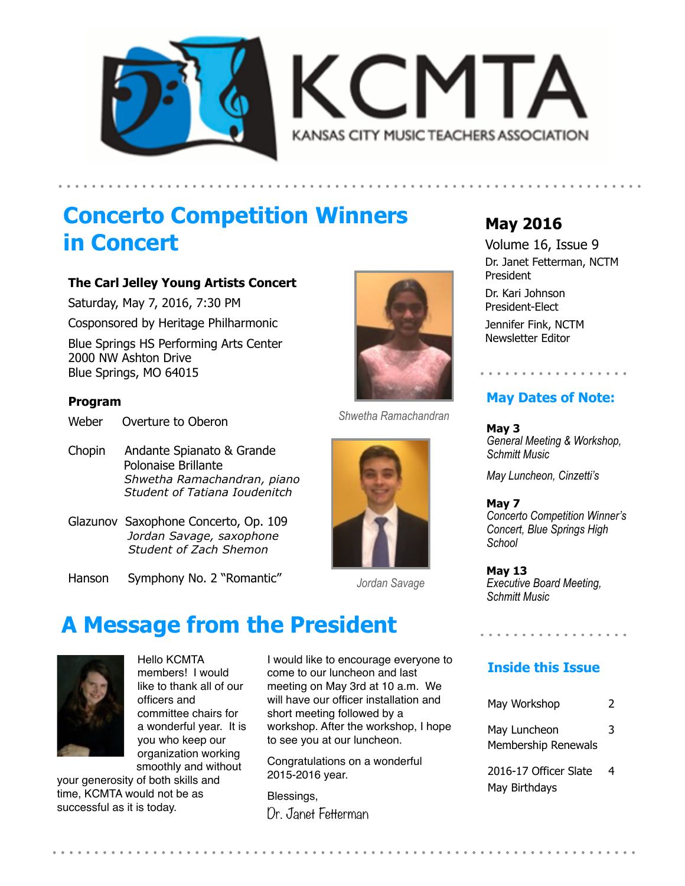



## **Concerto Competition Winners in Concert**

#### **The Carl Jelley Young Artists Concert**

Saturday, May 7, 2016, 7:30 PM

Cosponsored by Heritage Philharmonic

Blue Springs HS Performing Arts Center 2000 NW Ashton Drive Blue Springs, MO 64015

#### **Program**

Weber Overture to Oberon

- Chopin Andante Spianato & Grande Polonaise Brillante  *Shwetha Ramachandran, piano Student of Tatiana Ioudenitch*
- Glazunov Saxophone Concerto, Op. 109 *Jordan Savage, saxophone Student of Zach Shemon*
- Hanson Symphony No. 2 "Romantic"



*Jordan Savage* 

## **A Message from the President**



Hello KCMTA members! I would like to thank all of our officers and committee chairs for a wonderful year. It is you who keep our organization working smoothly and without

your generosity of both skills and time, KCMTA would not be as successful as it is today.

I would like to encourage everyone to come to our luncheon and last meeting on May 3rd at 10 a.m. We will have our officer installation and short meeting followed by a workshop. After the workshop, I hope to see you at our luncheon.

Congratulations on a wonderful 2015-2016 year.

Blessings, Dr. Janet Fetterman

## **May 2016**

Volume 16, Issue 9 Dr. Janet Fetterman, NCTM President

Dr. Kari Johnson President-Elect

Jennifer Fink, NCTM Newsletter Editor

### **May Dates of Note:**

. . . . . . . . . . . . . . . . .

**May 3**  *General Meeting & Workshop, Schmitt Music* 

*May Luncheon, Cinzetti's* 

**May 7**  *Concerto Competition Winner's Concert, Blue Springs High School* 

**May 13**  *Executive Board Meeting, Schmitt Music*

### **Inside this Issue**

. . . . . . . . . . . . . . . .

| May Workshop                               | 2 |
|--------------------------------------------|---|
| May Luncheon<br><b>Membership Renewals</b> | 3 |
| 2016-17 Officer Slate                      |   |

May Birthdays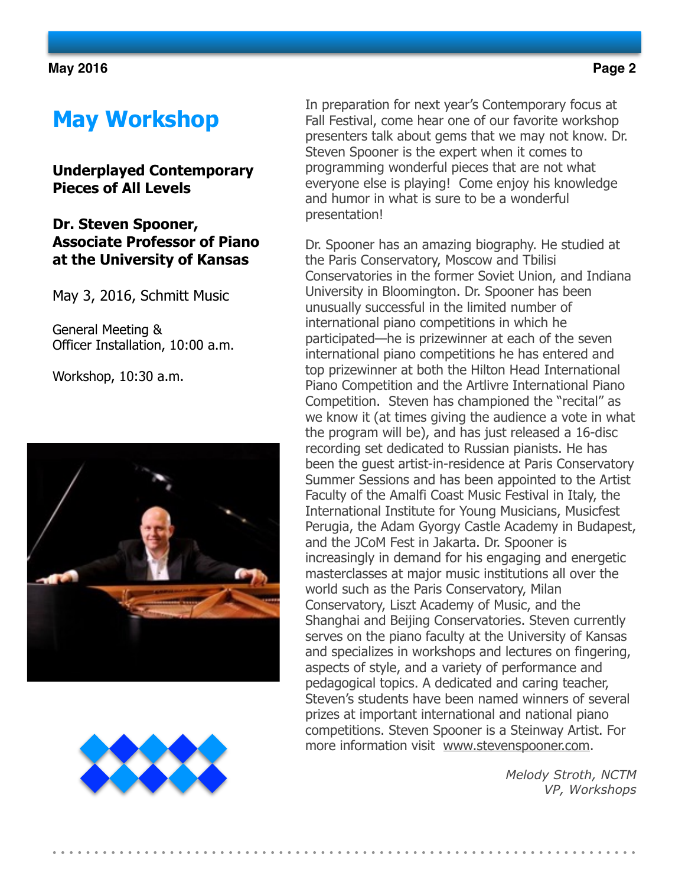# **May Workshop**

### **Underplayed Contemporary Pieces of All Levels**

### **Dr. Steven Spooner, Associate Professor of Piano at the University of Kansas**

May 3, 2016, Schmitt Music

General Meeting & Officer Installation, 10:00 a.m.

Workshop, 10:30 a.m.





In preparation for next year's Contemporary focus at Fall Festival, come hear one of our favorite workshop presenters talk about gems that we may not know. Dr. Steven Spooner is the expert when it comes to programming wonderful pieces that are not what everyone else is playing! Come enjoy his knowledge and humor in what is sure to be a wonderful presentation!

Dr. Spooner has an amazing biography. He studied at the Paris Conservatory, Moscow and Tbilisi Conservatories in the former Soviet Union, and Indiana University in Bloomington. Dr. Spooner has been unusually successful in the limited number of international piano competitions in which he participated—he is prizewinner at each of the seven international piano competitions he has entered and top prizewinner at both the Hilton Head International Piano Competition and the Artlivre International Piano Competition. Steven has championed the "recital" as we know it (at times giving the audience a vote in what the program will be), and has just released a 16-disc recording set dedicated to Russian pianists. He has been the guest artist-in-residence at Paris Conservatory Summer Sessions and has been appointed to the Artist Faculty of the Amalfi Coast Music Festival in Italy, the International Institute for Young Musicians, Musicfest Perugia, the Adam Gyorgy Castle Academy in Budapest, and the JCoM Fest in Jakarta. Dr. Spooner is increasingly in demand for his engaging and energetic masterclasses at major music institutions all over the world such as the Paris Conservatory, Milan Conservatory, Liszt Academy of Music, and the Shanghai and Beijing Conservatories. Steven currently serves on the piano faculty at the University of Kansas and specializes in workshops and lectures on fingering, aspects of style, and a variety of performance and pedagogical topics. A dedicated and caring teacher, Steven's students have been named winners of several prizes at important international and national piano competitions. Steven Spooner is a Steinway Artist. For more information visit [www.stevenspooner.com.](http://www.stevenspooner.com)

> *Melody Stroth, NCTM VP, Workshops*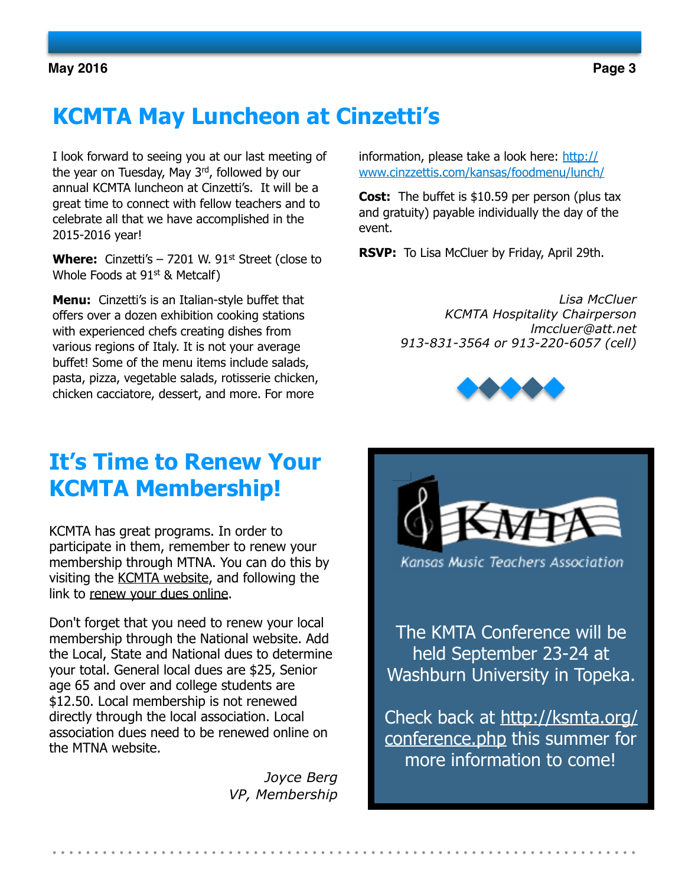# **KCMTA May Luncheon at Cinzetti's**

I look forward to seeing you at our last meeting of the year on Tuesday, May 3rd, followed by our annual KCMTA luncheon at Cinzetti's. It will be a great time to connect with fellow teachers and to celebrate all that we have accomplished in the 2015-2016 year!

**Where:** Cinzetti's  $-7201$  W. 91<sup>st</sup> Street (close to Whole Foods at  $91<sup>st</sup>$  & Metcalf)

**Menu:** Cinzetti's is an Italian-style buffet that offers over a dozen exhibition cooking stations with experienced chefs creating dishes from various regions of Italy. It is not your average buffet! Some of the menu items include salads, pasta, pizza, vegetable salads, rotisserie chicken, chicken cacciatore, dessert, and more. For more

information, please take a look here: http:// [www.cinzzettis.com/kansas/foodmenu/lunch/](http://www.cinzzettis.com/kansas/foodmenu/lunch/) 

**Cost:** The buffet is \$10.59 per person (plus tax and gratuity) payable individually the day of the event.

**RSVP:** To Lisa McCluer by Friday, April 29th.

*Lisa McCluer KCMTA Hospitality Chairperson [lmccluer@att.net](mailto:lmccluer@att.net) 913-831-3564 or 913-220-6057 (cell)*



## **It's Time to Renew Your KCMTA Membership!**

KCMTA has great programs. In order to participate in them, remember to renew your membership through MTNA. You can do this by visiting the [KCMTA website](http://kansascitymusicteachers.org/about-us/membership/), and following the link to [renew your dues online](http://www.mtna.org/membership-information/).

Don't forget that you need to renew your local membership through the National website. Add the Local, State and National dues to determine your total. General local dues are \$25, Senior age 65 and over and college students are \$12.50. Local membership is not renewed directly through the local association. Local association dues need to be renewed online on the MTNA website.

> *Joyce Berg VP, Membership*



Kansas Music Teachers Association

The KMTA Conference will be held [September 23-24](http://airmail.calendar/2016-09-23%2012:00:00%20CDT) at Washburn University in Topeka.

Check back at http://ksmta.org/ conference.php this summer for more information to come!